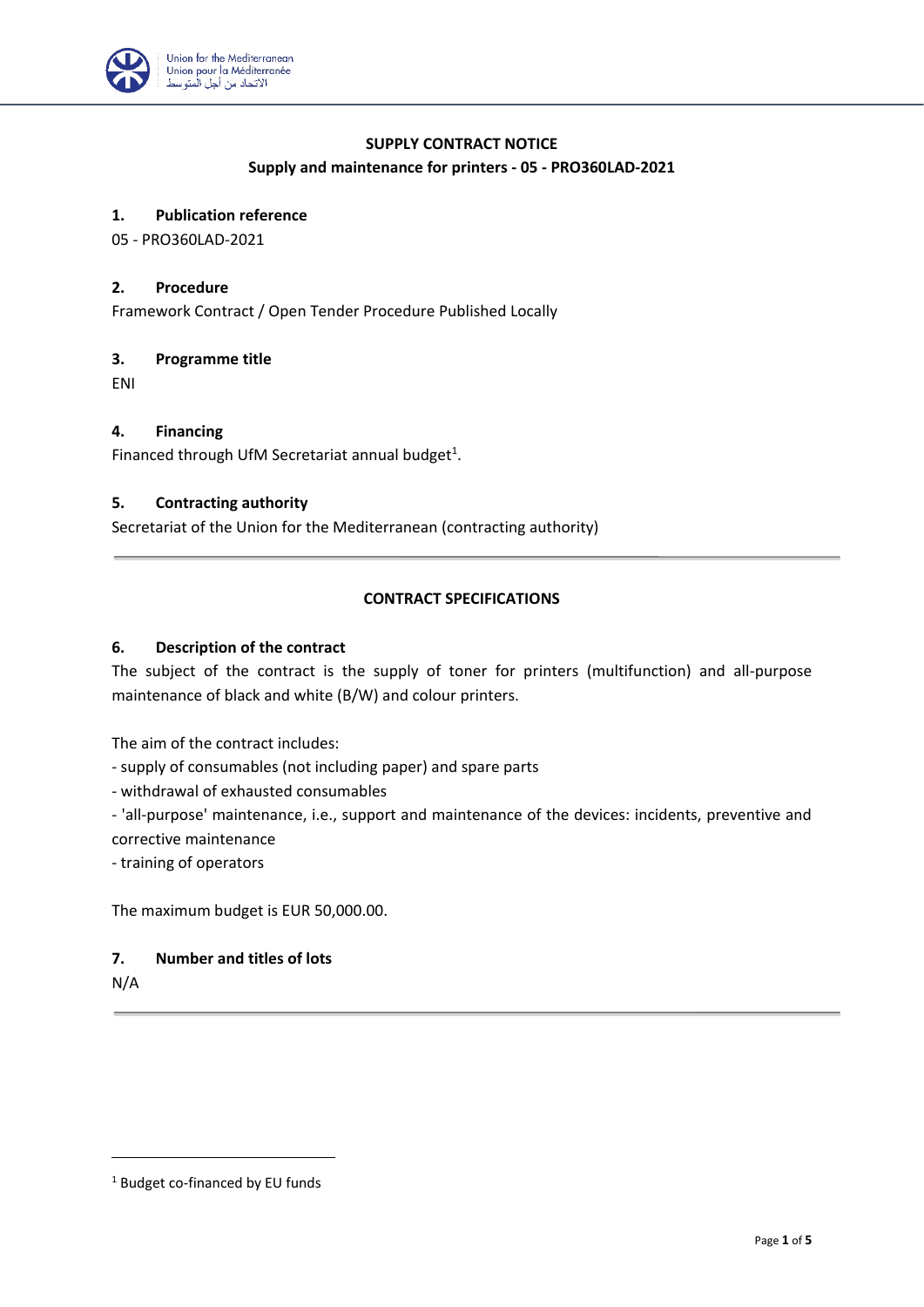

# **SUPPLY CONTRACT NOTICE**

### **Supply and maintenance for printers - 05 - PRO360LAD-2021**

## **1. Publication reference**

05 - PRO360LAD-2021

#### **2. Procedure**

Framework Contract / Open Tender Procedure Published Locally

#### **3. Programme title**

ENI

#### **4. Financing**

Financed through UfM Secretariat annual budget $^1$ .

## **5. Contracting authority**

Secretariat of the Union for the Mediterranean (contracting authority)

### **CONTRACT SPECIFICATIONS**

#### **6. Description of the contract**

The subject of the contract is the supply of toner for printers (multifunction) and all-purpose maintenance of black and white (B/W) and colour printers.

The aim of the contract includes:

- supply of consumables (not including paper) and spare parts

- withdrawal of exhausted consumables

- 'all-purpose' maintenance, i.e., support and maintenance of the devices: incidents, preventive and corrective maintenance

- training of operators

The maximum budget is EUR 50,000.00.

### **7. Number and titles of lots**

N/A

<sup>1</sup> Budget co-financed by EU funds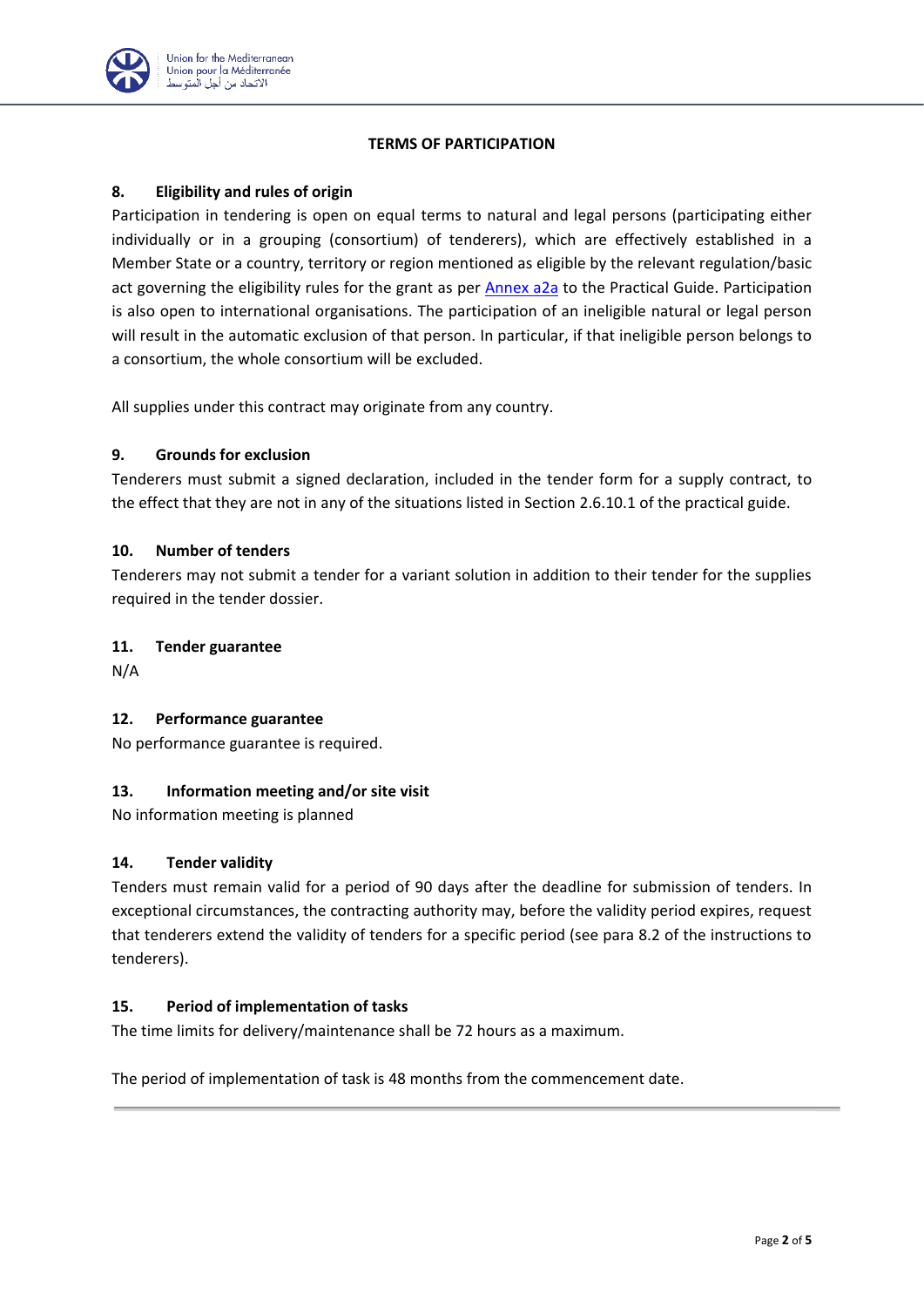

### **TERMS OF PARTICIPATION**

# **8. Eligibility and rules of origin**

Participation in tendering is open on equal terms to natural and legal persons (participating either individually or in a grouping (consortium) of tenderers), which are effectively established in a Member State or a country, territory or region mentioned as eligible by the relevant regulation/basic act governing the eligibility rules for the grant as per [Annex a2a](https://ec.europa.eu/europeaid/prag/annexes.do?annexName=A2a&lang=en) to the Practical Guide. Participation is also open to international organisations. The participation of an ineligible natural or legal person will result in the automatic exclusion of that person. In particular, if that ineligible person belongs to a consortium, the whole consortium will be excluded.

All supplies under this contract may originate from any country.

### **9. Grounds for exclusion**

Tenderers must submit a signed declaration, included in the tender form for a supply contract, to the effect that they are not in any of the situations listed in Section 2.6.10.1 of the practical guide.

### **10. Number of tenders**

Tenderers may not submit a tender for a variant solution in addition to their tender for the supplies required in the tender dossier.

## **11. Tender guarantee**

N/A

# **12. Performance guarantee**

No performance guarantee is required.

# **13. Information meeting and/or site visit**

No information meeting is planned

### **14. Tender validity**

Tenders must remain valid for a period of 90 days after the deadline for submission of tenders. In exceptional circumstances, the contracting authority may, before the validity period expires, request that tenderers extend the validity of tenders for a specific period (see para 8.2 of the instructions to tenderers).

### **15. Period of implementation of tasks**

The time limits for delivery/maintenance shall be 72 hours as a maximum.

The period of implementation of task is 48 months from the commencement date.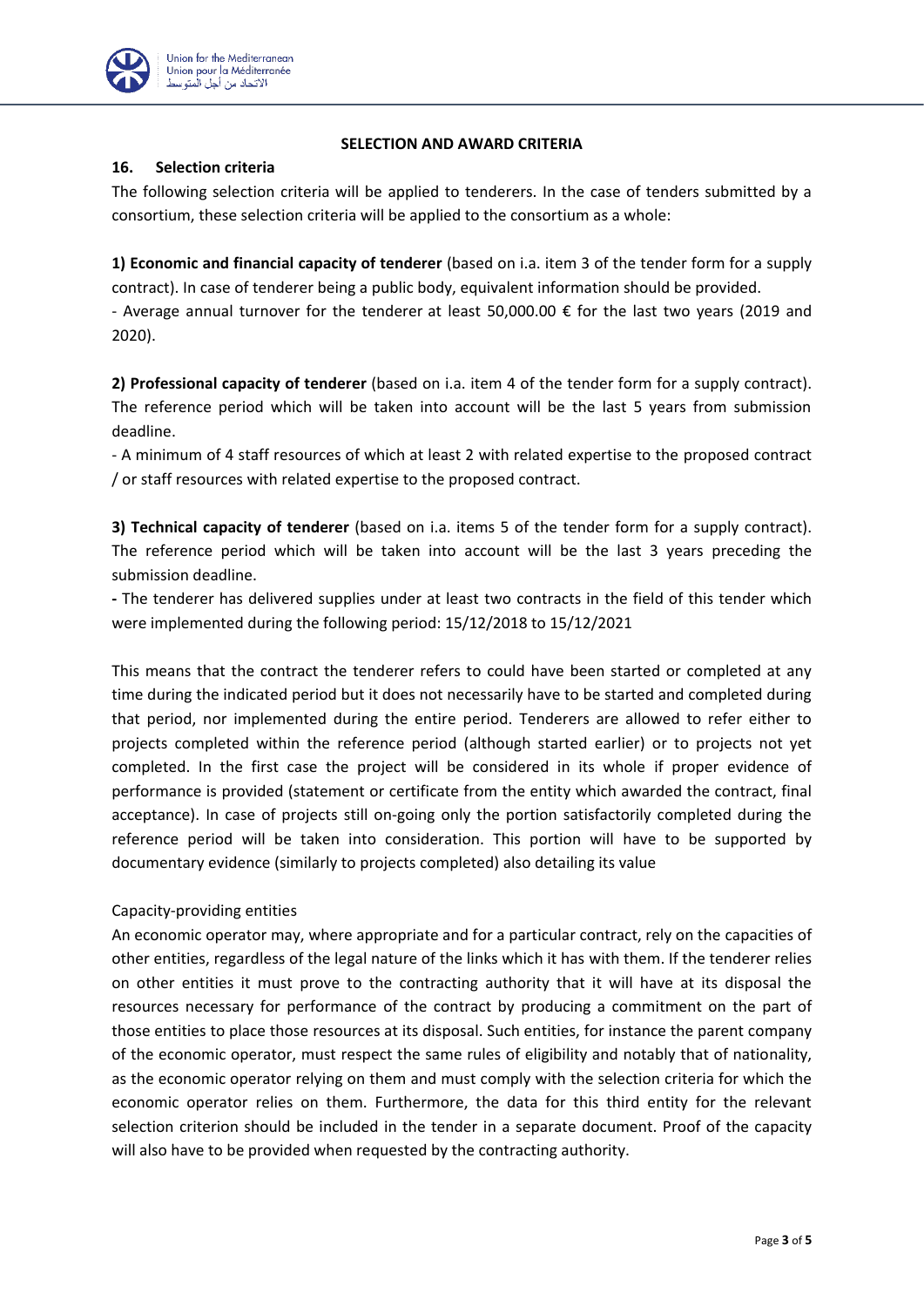

### **SELECTION AND AWARD CRITERIA**

## **16. Selection criteria**

The following selection criteria will be applied to tenderers. In the case of tenders submitted by a consortium, these selection criteria will be applied to the consortium as a whole:

**1) Economic and financial capacity of tenderer** (based on i.a. item 3 of the tender form for a supply contract). In case of tenderer being a public body, equivalent information should be provided. - Average annual turnover for the tenderer at least 50,000.00 € for the last two years (2019 and 2020).

**2) Professional capacity of tenderer** (based on i.a. item 4 of the tender form for a supply contract). The reference period which will be taken into account will be the last 5 years from submission deadline.

- A minimum of 4 staff resources of which at least 2 with related expertise to the proposed contract / or staff resources with related expertise to the proposed contract.

**3) Technical capacity of tenderer** (based on i.a. items 5 of the tender form for a supply contract). The reference period which will be taken into account will be the last 3 years preceding the submission deadline.

**-** The tenderer has delivered supplies under at least two contracts in the field of this tender which were implemented during the following period: 15/12/2018 to 15/12/2021

This means that the contract the tenderer refers to could have been started or completed at any time during the indicated period but it does not necessarily have to be started and completed during that period, nor implemented during the entire period. Tenderers are allowed to refer either to projects completed within the reference period (although started earlier) or to projects not yet completed. In the first case the project will be considered in its whole if proper evidence of performance is provided (statement or certificate from the entity which awarded the contract, final acceptance). In case of projects still on-going only the portion satisfactorily completed during the reference period will be taken into consideration. This portion will have to be supported by documentary evidence (similarly to projects completed) also detailing its value

### Capacity-providing entities

An economic operator may, where appropriate and for a particular contract, rely on the capacities of other entities, regardless of the legal nature of the links which it has with them. If the tenderer relies on other entities it must prove to the contracting authority that it will have at its disposal the resources necessary for performance of the contract by producing a commitment on the part of those entities to place those resources at its disposal. Such entities, for instance the parent company of the economic operator, must respect the same rules of eligibility and notably that of nationality, as the economic operator relying on them and must comply with the selection criteria for which the economic operator relies on them. Furthermore, the data for this third entity for the relevant selection criterion should be included in the tender in a separate document. Proof of the capacity will also have to be provided when requested by the contracting authority.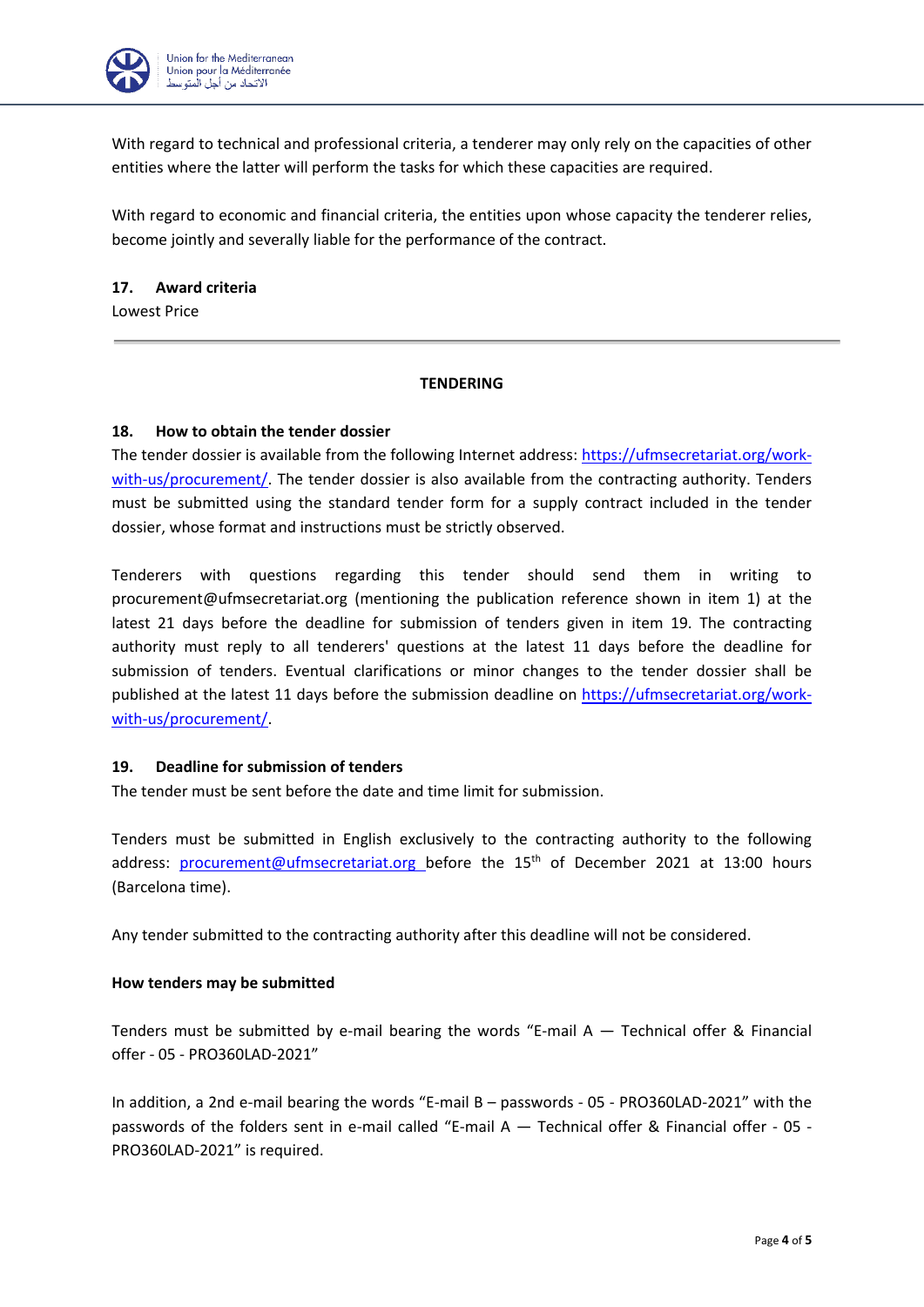

With regard to technical and professional criteria, a tenderer may only rely on the capacities of other entities where the latter will perform the tasks for which these capacities are required.

With regard to economic and financial criteria, the entities upon whose capacity the tenderer relies, become jointly and severally liable for the performance of the contract.

### **17. Award criteria**

Lowest Price

#### **TENDERING**

#### **18. How to obtain the tender dossier**

The tender dossier is available from the following Internet address: [https://ufmsecretariat.org/work](https://ufmsecretariat.org/work-with-us/procurement/)[with-us/procurement/.](https://ufmsecretariat.org/work-with-us/procurement/) The tender dossier is also available from the contracting authority. Tenders must be submitted using the standard tender form for a supply contract included in the tender dossier, whose format and instructions must be strictly observed.

Tenderers with questions regarding this tender should send them in writing to [procurement@ufmsecretariat.org](mailto:procurement@ufmsecretariat.org) (mentioning the publication reference shown in item 1) at the latest 21 days before the deadline for submission of tenders given in item 19. The contracting authority must reply to all tenderers' questions at the latest 11 days before the deadline for submission of tenders. Eventual clarifications or minor changes to the tender dossier shall be published at the latest 11 days before the submission deadline on [https://ufmsecretariat.org/work](https://ufmsecretariat.org/work-with-us/procurement/)[with-us/procurement/.](https://ufmsecretariat.org/work-with-us/procurement/)

### **19. Deadline for submission of tenders**

The tender must be sent before the date and time limit for submission.

Tenders must be submitted in English exclusively to the contracting authority to the following address: [procurement@ufmsecretariat.org](mailto:procurement@ufmsecretariat.org) before the 15<sup>th</sup> of December 2021 at 13:00 hours (Barcelona time).

Any tender submitted to the contracting authority after this deadline will not be considered.

#### **How tenders may be submitted**

Tenders must be submitted by e-mail bearing the words "E-mail  $A -$  Technical offer & Financial offer - 05 - PRO360LAD-2021"

In addition, a 2nd e-mail bearing the words "E-mail B – passwords - 05 - PRO360LAD-2021" with the passwords of the folders sent in e-mail called "E-mail A — Technical offer & Financial offer - 05 - PRO360LAD-2021" is required.